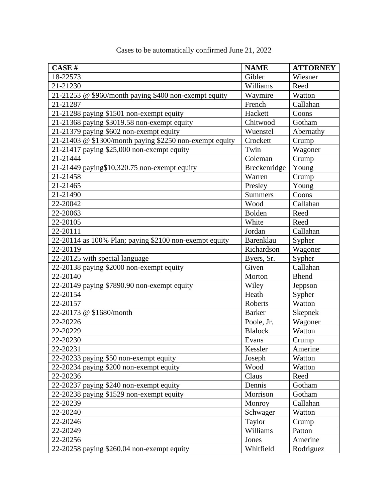| <b>CASE#</b>                                            | <b>NAME</b>    | <b>ATTORNEY</b> |
|---------------------------------------------------------|----------------|-----------------|
| 18-22573                                                | Gibler         | Wiesner         |
| 21-21230                                                | Williams       | Reed            |
| 21-21253 @ \$960/month paying \$400 non-exempt equity   | Waymire        | Watton          |
| 21-21287                                                | French         | Callahan        |
| 21-21288 paying \$1501 non-exempt equity                | Hackett        | Coons           |
| 21-21368 paying \$3019.58 non-exempt equity             | Chitwood       | Gotham          |
| 21-21379 paying \$602 non-exempt equity                 | Wuenstel       | Abernathy       |
| 21-21403 @ \$1300/month paying \$2250 non-exempt equity | Crockett       | Crump           |
| 21-21417 paying \$25,000 non-exempt equity              | Twin           | Wagoner         |
| 21-21444                                                | Coleman        | Crump           |
| 21-21449 paying \$10,320.75 non-exempt equity           | Breckenridge   | Young           |
| 21-21458                                                | Warren         | Crump           |
| 21-21465                                                | Presley        | Young           |
| 21-21490                                                | <b>Summers</b> | Coons           |
| 22-20042                                                | Wood           | Callahan        |
| 22-20063                                                | <b>Bolden</b>  | Reed            |
| 22-20105                                                | White          | Reed            |
| 22-20111                                                | Jordan         | Callahan        |
| 22-20114 as 100% Plan; paying \$2100 non-exempt equity  | Barenklau      | Sypher          |
| 22-20119                                                | Richardson     | Wagoner         |
| 22-20125 with special language                          | Byers, Sr.     | Sypher          |
| 22-20138 paying \$2000 non-exempt equity                | Given          | Callahan        |
| 22-20140                                                | Morton         | <b>Bhend</b>    |
| 22-20149 paying \$7890.90 non-exempt equity             | Wiley          | Jeppson         |
| 22-20154                                                | Heath          | Sypher          |
| 22-20157                                                | Roberts        | Watton          |
| 22-20173 @ \$1680/month                                 | <b>Barker</b>  | <b>Skepnek</b>  |
| 22-20226                                                | Poole, Jr.     | Wagoner         |
| 22-20229                                                | <b>Blalock</b> | Watton          |
| 22-20230                                                | Evans          | Crump           |
| 22-20231                                                | Kessler        | Amerine         |
| 22-20233 paying \$50 non-exempt equity                  | Joseph         | Watton          |
| 22-20234 paying \$200 non-exempt equity                 | Wood           | Watton          |
| 22-20236                                                | Claus          | Reed            |
| 22-20237 paying \$240 non-exempt equity                 | Dennis         | Gotham          |
| 22-20238 paying \$1529 non-exempt equity                | Morrison       | Gotham          |
| 22-20239                                                | Monroy         | Callahan        |
| 22-20240                                                | Schwager       | Watton          |
| 22-20246                                                | Taylor         | Crump           |
| 22-20249                                                | Williams       | Patton          |
| 22-20256                                                | Jones          | Amerine         |
| 22-20258 paying \$260.04 non-exempt equity              | Whitfield      | Rodriguez       |

Cases to be automatically confirmed June 21, 2022